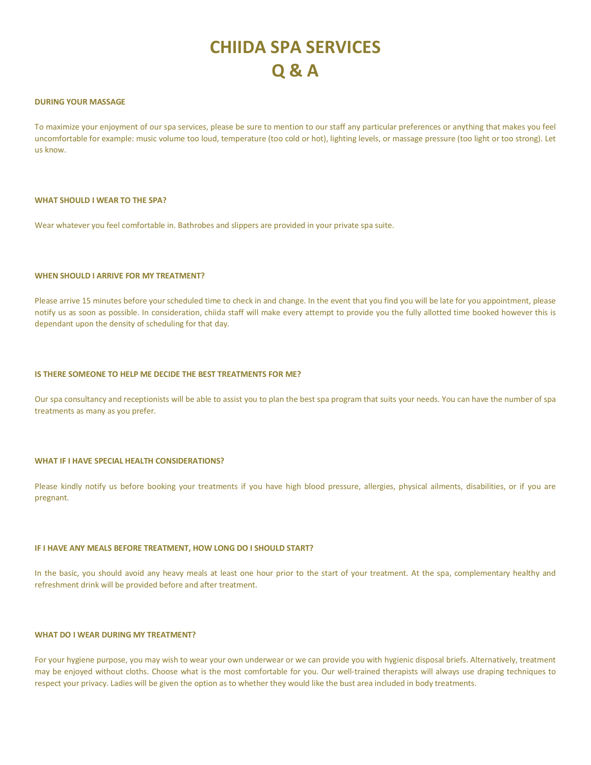# **CHIIDA SPA SERVICES Q & A**

#### **DURING YOUR MASSAGE**

To maximize your enjoyment of our spa services, please be sure to mention to our staff any particular preferences or anything that makes you feel uncomfortable for example: music volume too loud, temperature (too cold or hot), lighting levels, or massage pressure (too light or too strong). Let us know.

#### **WHAT SHOULD I WEAR TO THE SPA?**

Wear whatever you feel comfortable in. Bathrobes and slippers are provided in your private spa suite.

## **WHEN SHOULD I ARRIVE FOR MY TREATMENT?**

Please arrive 15 minutes before your scheduled time to check in and change. In the event that you find you will be late for you appointment, please notify us as soon as possible. In consideration, chiida staff will make every attempt to provide you the fully allotted time booked however this is dependant upon the density of scheduling for that day.

#### **IS THERE SOMEONE TO HELP ME DECIDE THE BEST TREATMENTS FOR ME?**

Our spa consultancy and receptionists will be able to assist you to plan the best spa program that suits your needs. You can have the number of spa treatments as many as you prefer.

#### **WHAT IF I HAVE SPECIAL HEALTH CONSIDERATIONS?**

Please kindly notify us before booking your treatments if you have high blood pressure, allergies, physical ailments, disabilities, or if you are pregnant.

#### **IF I HAVE ANY MEALS BEFORE TREATMENT, HOW LONG DO I SHOULD START?**

In the basic, you should avoid any heavy meals at least one hour prior to the start of your treatment. At the spa, complementary healthy and refreshment drink will be provided before and after treatment.

## **WHAT DO I WEAR DURING MY TREATMENT?**

For your hygiene purpose, you may wish to wear your own underwear or we can provide you with hygienic disposal briefs. Alternatively, treatment may be enjoyed without cloths. Choose what is the most comfortable for you. Our well-trained therapists will always use draping techniques to respect your privacy. Ladies will be given the option as to whether they would like the bust area included in body treatments.